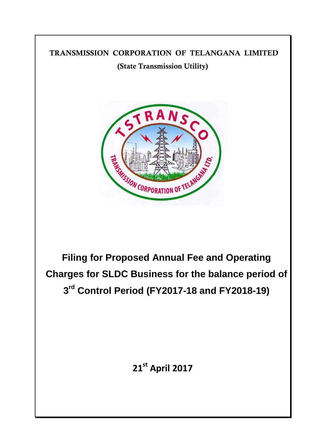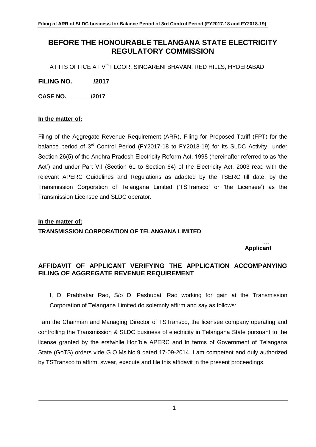# **BEFORE THE HONOURABLE TELANGANA STATE ELECTRICITY REGULATORY COMMISSION**

AT ITS OFFICE AT V<sup>th</sup> FLOOR, SINGARENI BHAVAN, RED HILLS, HYDERABAD

**FILING NO.\_\_\_\_\_\_/2017**

**CASE NO. \_\_\_\_\_\_\_/2017**

# **In the matter of:**

Filing of the Aggregate Revenue Requirement (ARR), Filing for Proposed Tariff (FPT) for the balance period of 3<sup>rd</sup> Control Period (FY2017-18 to FY2018-19) for its SLDC Activity under Section 26(5) of the Andhra Pradesh Electricity Reform Act, 1998 (hereinafter referred to as "the Act") and under Part VII (Section 61 to Section 64) of the Electricity Act, 2003 read with the relevant APERC Guidelines and Regulations as adapted by the TSERC till date, by the Transmission Corporation of Telangana Limited ("TSTransco" or "the Licensee") as the Transmission Licensee and SLDC operator.

# **In the matter of:**

# **TRANSMISSION CORPORATION OF TELANGANA LIMITED**

#### … **Applicant**

# **AFFIDAVIT OF APPLICANT VERIFYING THE APPLICATION ACCOMPANYING FILING OF AGGREGATE REVENUE REQUIREMENT**

I, D. Prabhakar Rao, S/o D. Pashupati Rao working for gain at the Transmission Corporation of Telangana Limited do solemnly affirm and say as follows:

I am the Chairman and Managing Director of TSTransco, the licensee company operating and controlling the Transmission & SLDC business of electricity in Telangana State pursuant to the license granted by the erstwhile Hon"ble APERC and in terms of Government of Telangana State (GoTS) orders vide G.O.Ms.No.9 dated 17-09-2014. I am competent and duly authorized by TSTransco to affirm, swear, execute and file this affidavit in the present proceedings.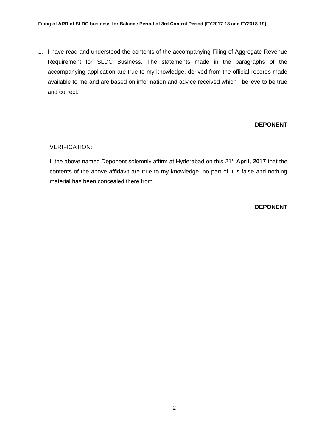#### **Filing of ARR of SLDC business for Balance Period of 3rd Control Period (FY2017-18 and FY2018-19)**

1. I have read and understood the contents of the accompanying Filing of Aggregate Revenue Requirement for SLDC Business. The statements made in the paragraphs of the accompanying application are true to my knowledge, derived from the official records made available to me and are based on information and advice received which I believe to be true and correct.

# **DEPONENT**

#### VERIFICATION:

I, the above named Deponent solemnly affirm at Hyderabad on this 21st **April, 2017** that the contents of the above affidavit are true to my knowledge, no part of it is false and nothing material has been concealed there from.

#### **DEPONENT**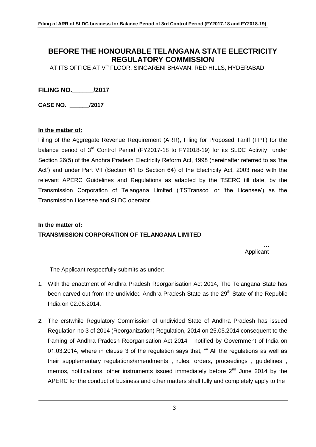# **BEFORE THE HONOURABLE TELANGANA STATE ELECTRICITY REGULATORY COMMISSION**

AT ITS OFFICE AT V<sup>th</sup> FLOOR, SINGARENI BHAVAN, RED HILLS, HYDERABAD

**FILING NO.\_\_\_\_\_\_/2017**

**CASE NO. \_\_\_\_\_\_/2017**

#### **In the matter of:**

Filing of the Aggregate Revenue Requirement (ARR), Filing for Proposed Tariff (FPT) for the balance period of 3<sup>rd</sup> Control Period (FY2017-18 to FY2018-19) for its SLDC Activity under Section 26(5) of the Andhra Pradesh Electricity Reform Act, 1998 (hereinafter referred to as "the Act") and under Part VII (Section 61 to Section 64) of the Electricity Act, 2003 read with the relevant APERC Guidelines and Regulations as adapted by the TSERC till date, by the Transmission Corporation of Telangana Limited ("TSTransco" or "the Licensee") as the Transmission Licensee and SLDC operator.

# **In the matter of: TRANSMISSION CORPORATION OF TELANGANA LIMITED**

… Applicant

The Applicant respectfully submits as under: -

- 1. With the enactment of Andhra Pradesh Reorganisation Act 2014, The Telangana State has been carved out from the undivided Andhra Pradesh State as the 29<sup>th</sup> State of the Republic India on 02.06.2014.
- 2. The erstwhile Regulatory Commission of undivided State of Andhra Pradesh has issued Regulation no 3 of 2014 (Reorganization) Regulation, 2014 on 25.05.2014 consequent to the framing of Andhra Pradesh Reorganisation Act 2014 notified by Government of India on 01.03.2014, where in clause 3 of the regulation says that, "" All the regulations as well as their supplementary regulations/amendments , rules, orders, proceedings , guidelines , memos, notifications, other instruments issued immediately before  $2^{nd}$  June 2014 by the APERC for the conduct of business and other matters shall fully and completely apply to the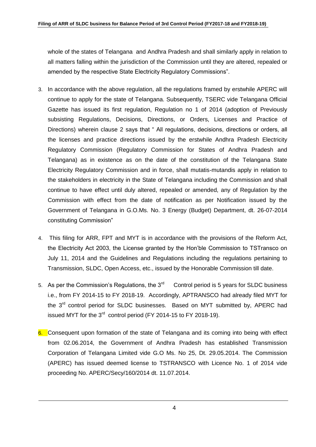whole of the states of Telangana and Andhra Pradesh and shall similarly apply in relation to all matters falling within the jurisdiction of the Commission until they are altered, repealed or amended by the respective State Electricity Regulatory Commissions".

- 3. In accordance with the above regulation, all the regulations framed by erstwhile APERC will continue to apply for the state of Telangana. Subsequently, TSERC vide Telangana Official Gazette has issued its first regulation, Regulation no 1 of 2014 (adoption of Previously subsisting Regulations, Decisions, Directions, or Orders, Licenses and Practice of Directions) wherein clause 2 says that " All regulations, decisions, directions or orders, all the licenses and practice directions issued by the erstwhile Andhra Pradesh Electricity Regulatory Commission (Regulatory Commission for States of Andhra Pradesh and Telangana) as in existence as on the date of the constitution of the Telangana State Electricity Regulatory Commission and in force, shall mutatis-mutandis apply in relation to the stakeholders in electricity in the State of Telangana including the Commission and shall continue to have effect until duly altered, repealed or amended, any of Regulation by the Commission with effect from the date of notification as per Notification issued by the Government of Telangana in G.O.Ms. No. 3 Energy (Budget) Department, dt. 26-07-2014 constituting Commission"
- 4. This filing for ARR, FPT and MYT is in accordance with the provisions of the Reform Act, the Electricity Act 2003, the License granted by the Hon"ble Commission to TSTransco on July 11, 2014 and the Guidelines and Regulations including the regulations pertaining to Transmission, SLDC, Open Access, etc., issued by the Honorable Commission till date.
- 5. As per the Commission's Regulations, the  $3<sup>rd</sup>$  Control period is 5 years for SLDC business i.e., from FY 2014-15 to FY 2018-19. Accordingly, APTRANSCO had already filed MYT for the 3<sup>rd</sup> control period for SLDC businesses. Based on MYT submitted by, APERC had issued MYT for the 3<sup>rd</sup> control period (FY 2014-15 to FY 2018-19).
- 6. Consequent upon formation of the state of Telangana and its coming into being with effect from 02.06.2014, the Government of Andhra Pradesh has established Transmission Corporation of Telangana Limited vide G.O Ms. No 25, Dt. 29.05.2014. The Commission (APERC) has issued deemed license to TSTRANSCO with Licence No. 1 of 2014 vide proceeding No. APERC/Secy/160/2014 dt. 11.07.2014.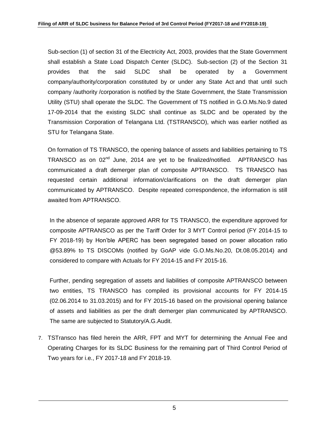Sub-section (1) of section 31 of the Electricity Act, 2003, provides that the State Government shall establish a State Load Dispatch Center (SLDC). Sub-section (2) of the Section 31 provides that the said SLDC shall be operated by a Government company/authority/corporation constituted by or under any State Act and that until such company /authority /corporation is notified by the State Government, the State Transmission Utility (STU) shall operate the SLDC. The Government of TS notified in G.O.Ms.No.9 dated 17-09-2014 that the existing SLDC shall continue as SLDC and be operated by the Transmission Corporation of Telangana Ltd. (TSTRANSCO), which was earlier notified as STU for Telangana State.

On formation of TS TRANSCO, the opening balance of assets and liabilities pertaining to TS TRANSCO as on 02<sup>nd</sup> June, 2014 are yet to be finalized/notified. APTRANSCO has communicated a draft demerger plan of composite APTRANSCO. TS TRANSCO has requested certain additional information/clarifications on the draft demerger plan communicated by APTRANSCO. Despite repeated correspondence, the information is still awaited from APTRANSCO.

In the absence of separate approved ARR for TS TRANSCO, the expenditure approved for composite APTRANSCO as per the Tariff Order for 3 MYT Control period (FY 2014-15 to FY 2018-19) by Hon"ble APERC has been segregated based on power allocation ratio @53.89% to TS DISCOMs (notified by GoAP vide G.O.Ms.No.20, Dt.08.05.2014) and considered to compare with Actuals for FY 2014-15 and FY 2015-16.

Further, pending segregation of assets and liabilities of composite APTRANSCO between two entities, TS TRANSCO has compiled its provisional accounts for FY 2014-15 (02.06.2014 to 31.03.2015) and for FY 2015-16 based on the provisional opening balance of assets and liabilities as per the draft demerger plan communicated by APTRANSCO. The same are subjected to Statutory/A.G.Audit.

7. TSTransco has filed herein the ARR, FPT and MYT for determining the Annual Fee and Operating Charges for its SLDC Business for the remaining part of Third Control Period of Two years for i.e., FY 2017-18 and FY 2018-19.

5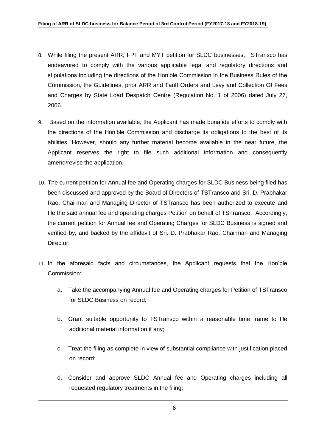- 8. While filing the present ARR, FPT and MYT petition for SLDC businesses, TSTransco has endeavored to comply with the various applicable legal and regulatory directions and stipulations including the directions of the Hon"ble Commission in the Business Rules of the Commission, the Guidelines, prior ARR and Tariff Orders and Levy and Collection Of Fees and Charges by State Load Despatch Centre (Regulation No. 1 of 2006) dated July 27, 2006.
- 9. Based on the information available, the Applicant has made bonafide efforts to comply with the directions of the Hon"ble Commission and discharge its obligations to the best of its abilities. However, should any further material become available in the near future, the Applicant reserves the right to file such additional information and consequently amend/revise the application.
- 10. The current petition for Annual fee and Operating charges for SLDC Business being filed has been discussed and approved by the Board of Directors of TSTransco and Sri. D. Prabhakar Rao, Chairman and Managing Director of TSTransco has been authorized to execute and file the said annual fee and operating charges Petition on behalf of TSTransco. Accordingly, the current petition for Annual fee and Operating Charges for SLDC Business is signed and verified by, and backed by the affidavit of Sri. D. Prabhakar Rao, Chairman and Managing Director.
- 11. In the aforesaid facts and circumstances, the Applicant requests that the Hon"ble Commission:
	- a. Take the accompanying Annual fee and Operating charges for Petition of TSTransco for SLDC Business on record;
	- b. Grant suitable opportunity to TSTransco within a reasonable time frame to file additional material information if any;
	- c. Treat the filing as complete in view of substantial compliance with justification placed on record;
	- d. Consider and approve SLDC Annual fee and Operating charges including all requested regulatory treatments in the filing;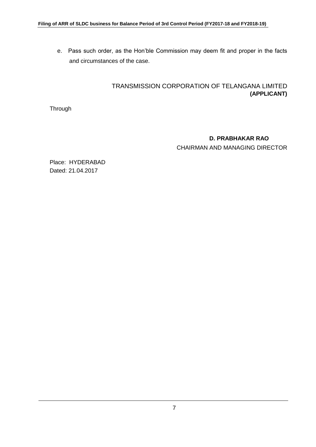e. Pass such order, as the Hon"ble Commission may deem fit and proper in the facts and circumstances of the case.

# TRANSMISSION CORPORATION OF TELANGANA LIMITED **(APPLICANT)**

**Through** 

# **D. PRABHAKAR RAO**

CHAIRMAN AND MANAGING DIRECTOR

Place: HYDERABAD Dated: 21.04.2017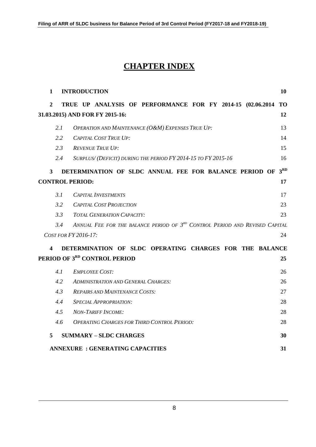# **CHAPTER INDEX**

| 1              | <b>INTRODUCTION</b>                    |                                       |  |                                            |                                                                                         |  |  | 10              |
|----------------|----------------------------------------|---------------------------------------|--|--------------------------------------------|-----------------------------------------------------------------------------------------|--|--|-----------------|
| $\overline{2}$ |                                        |                                       |  |                                            | TRUE UP ANALYSIS OF PERFORMANCE FOR FY 2014-15 (02.06.2014                              |  |  | <b>TO</b>       |
|                | 31.03.2015) AND FOR FY 2015-16:        |                                       |  |                                            |                                                                                         |  |  | 12              |
|                | 2.1                                    |                                       |  |                                            | <b>OPERATION AND MAINTENANCE (O&amp;M) EXPENSES TRUE UP:</b>                            |  |  | 13              |
|                | 2.2                                    | <b>CAPITAL COST TRUE UP:</b>          |  |                                            |                                                                                         |  |  | 14              |
|                | 2.3                                    | <b>REVENUE TRUE UP:</b>               |  |                                            |                                                                                         |  |  | 15              |
|                | 2.4                                    |                                       |  |                                            | SURPLUS/(DEFICIT) DURING THE PERIOD FY 2014-15 TO FY 2015-16                            |  |  | 16              |
| 3              |                                        |                                       |  |                                            | DETERMINATION OF SLDC ANNUAL FEE FOR BALANCE PERIOD OF                                  |  |  | 3 <sup>RD</sup> |
|                | <b>CONTROL PERIOD:</b>                 |                                       |  |                                            |                                                                                         |  |  | 17              |
|                | 3.1                                    | <b>CAPITAL INVESTMENTS</b>            |  |                                            |                                                                                         |  |  | 17              |
|                | 3.2                                    | <b>CAPITAL COST PROJECTION</b>        |  |                                            |                                                                                         |  |  | 23              |
|                | 3.3                                    | <i>TOTAL GENERATION CAPACITY:</i>     |  |                                            |                                                                                         |  |  | 23              |
|                | 3.4                                    |                                       |  |                                            | ANNUAL FEE FOR THE BALANCE PERIOD OF 3 <sup>RD</sup> CONTROL PERIOD AND REVISED CAPITAL |  |  |                 |
|                | COST FOR FY 2016-17:                   |                                       |  |                                            |                                                                                         |  |  | 24              |
| 4              |                                        |                                       |  |                                            | DETERMINATION OF SLDC OPERATING CHARGES FOR THE BALANCE                                 |  |  |                 |
|                | PERIOD OF 3RD CONTROL PERIOD           |                                       |  |                                            |                                                                                         |  |  | 25              |
|                | 4.1                                    | <b>EMPLOYEE COST:</b>                 |  |                                            |                                                                                         |  |  | 26              |
|                | 4.2                                    |                                       |  | <b>ADMINISTRATION AND GENERAL CHARGES:</b> |                                                                                         |  |  | 26              |
|                | 4.3                                    | <b>REPAIRS AND MAINTENANCE COSTS:</b> |  |                                            |                                                                                         |  |  | 27              |
|                | 4.4                                    | <b>SPECIAL APPROPRIATION:</b>         |  |                                            |                                                                                         |  |  | 28              |
|                | 4.5                                    | <b>NON-TARIFF INCOME:</b>             |  |                                            |                                                                                         |  |  | 28              |
|                | 4.6                                    |                                       |  |                                            | <b>OPERATING CHARGES FOR THIRD CONTROL PERIOD:</b>                                      |  |  | 28              |
| 5              |                                        | <b>SUMMARY - SLDC CHARGES</b>         |  |                                            |                                                                                         |  |  | 30              |
|                | <b>ANNEXURE: GENERATING CAPACITIES</b> |                                       |  |                                            |                                                                                         |  |  | 31              |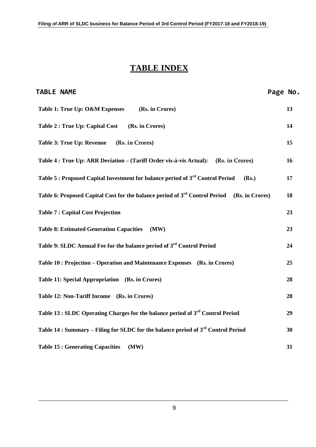# **TABLE INDEX**

| <b>TABLE NAME</b>                                                                                          | Page No. |    |
|------------------------------------------------------------------------------------------------------------|----------|----|
| Table 1: True Up: O&M Expenses<br>(Rs. in Crores)                                                          |          | 13 |
| <b>Table 2: True Up: Capital Cost</b><br>(Rs. in Crores)                                                   |          | 14 |
| <b>Table 3: True Up: Revenue</b><br>(Rs. in Crores)                                                        |          | 15 |
| Table 4 : True Up: ARR Deviation - (Tariff Order vis-à-vis Actual):<br>(Rs. in Crores)                     |          | 16 |
| Table 5 : Proposed Capital Investment for balance period of 3 <sup>rd</sup> Control Period<br>(Rs.)        |          | 17 |
| Table 6: Proposed Capital Cost for the balance period of 3 <sup>rd</sup> Control Period<br>(Rs. in Crores) |          | 18 |
| <b>Table 7: Capital Cost Projection</b>                                                                    |          | 23 |
| <b>Table 8: Estimated Generation Capacities</b><br>(MW)                                                    |          | 23 |
| Table 9: SLDC Annual Fee for the balance period of 3 <sup>rd</sup> Control Period                          |          | 24 |
| Table 10 : Projection – Operation and Maintenance Expenses (Rs. in Crores)                                 |          | 25 |
| Table 11: Special Appropriation (Rs. in Crores)                                                            |          | 28 |
| Table 12: Non-Tariff Income (Rs. in Crores)                                                                |          | 28 |
| Table 13 : SLDC Operating Charges for the balance period of 3 <sup>rd</sup> Control Period                 |          | 29 |
| Table 14 : Summary – Filing for SLDC for the balance period of 3 <sup>rd</sup> Control Period              |          | 30 |
| <b>Table 15: Generating Capacities</b><br>(MW)                                                             |          | 31 |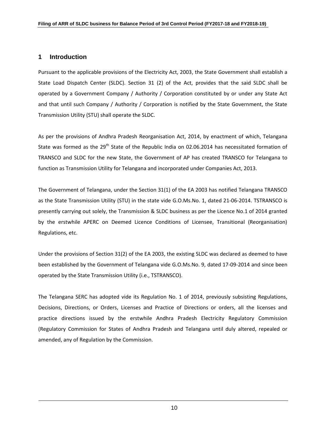#### **1 Introduction**

Pursuant to the applicable provisions of the Electricity Act, 2003, the State Government shall establish a State Load Dispatch Center (SLDC). Section 31 (2) of the Act, provides that the said SLDC shall be operated by a Government Company / Authority / Corporation constituted by or under any State Act and that until such Company / Authority / Corporation is notified by the State Government, the State Transmission Utility (STU) shall operate the SLDC.

As per the provisions of Andhra Pradesh Reorganisation Act, 2014, by enactment of which, Telangana State was formed as the  $29<sup>th</sup>$  State of the Republic India on 02.06.2014 has necessitated formation of TRANSCO and SLDC for the new State, the Government of AP has created TRANSCO for Telangana to function as Transmission Utility for Telangana and incorporated under Companies Act, 2013.

The Government of Telangana, under the Section 31(1) of the EA 2003 has notified Telangana TRANSCO as the State Transmission Utility (STU) in the state vide G.O.Ms.No. 1, dated 21-06-2014. TSTRANSCO is presently carrying out solely, the Transmission & SLDC business as per the Licence No.1 of 2014 granted by the erstwhile APERC on Deemed Licence Conditions of Licensee, Transitional (Reorganisation) Regulations, etc.

Under the provisions of Section 31(2) of the EA 2003, the existing SLDC was declared as deemed to have been established by the Government of Telangana vide G.O.Ms.No. 9, dated 17-09-2014 and since been operated by the State Transmission Utility (i.e., TSTRANSCO).

The Telangana SERC has adopted vide its Regulation No. 1 of 2014, previously subsisting Regulations, Decisions, Directions, or Orders, Licenses and Practice of Directions or orders, all the licenses and practice directions issued by the erstwhile Andhra Pradesh Electricity Regulatory Commission (Regulatory Commission for States of Andhra Pradesh and Telangana until duly altered, repealed or amended, any of Regulation by the Commission.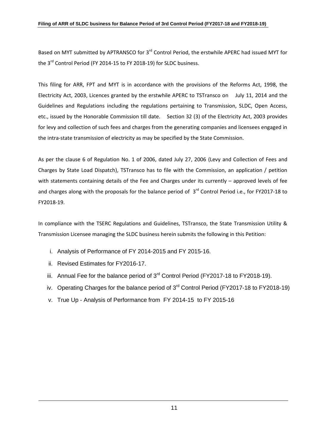#### **Filing of ARR of SLDC business for Balance Period of 3rd Control Period (FY2017-18 and FY2018-19)**

Based on MYT submitted by APTRANSCO for 3<sup>rd</sup> Control Period, the erstwhile APERC had issued MYT for the 3<sup>rd</sup> Control Period (FY 2014-15 to FY 2018-19) for SLDC business.

This filing for ARR, FPT and MYT is in accordance with the provisions of the Reforms Act, 1998, the Electricity Act, 2003, Licences granted by the erstwhile APERC to TSTransco on July 11, 2014 and the Guidelines and Regulations including the regulations pertaining to Transmission, SLDC, Open Access, etc., issued by the Honorable Commission till date. Section 32 (3) of the Electricity Act, 2003 provides for levy and collection of such fees and charges from the generating companies and licensees engaged in the intra-state transmission of electricity as may be specified by the State Commission.

As per the clause 6 of Regulation No. 1 of 2006, dated July 27, 2006 (Levy and Collection of Fees and Charges by State Load Dispatch), TSTransco has to file with the Commission, an application / petition with statements containing details of the Fee and Charges under its currently - approved levels of fee and charges along with the proposals for the balance period of 3<sup>rd</sup> Control Period i.e., for FY2017-18 to FY2018-19.

In compliance with the TSERC Regulations and Guidelines, TSTransco, the State Transmission Utility & Transmission Licensee managing the SLDC business herein submits the following in this Petition:

- i. Analysis of Performance of FY 2014-2015 and FY 2015-16.
- ii. Revised Estimates for FY2016-17.
- iii. Annual Fee for the balance period of 3<sup>rd</sup> Control Period (FY2017-18 to FY2018-19).
- iv. Operating Charges for the balance period of  $3<sup>rd</sup>$  Control Period (FY2017-18 to FY2018-19)
- v. True Up Analysis of Performance from FY 2014-15 to FY 2015-16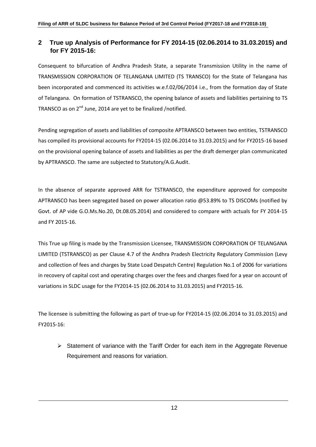# **2 True up Analysis of Performance for FY 2014-15 (02.06.2014 to 31.03.2015) and for FY 2015-16:**

Consequent to bifurcation of Andhra Pradesh State, a separate Transmission Utility in the name of TRANSMISSION CORPORATION OF TELANGANA LIMITED (TS TRANSCO) for the State of Telangana has been incorporated and commenced its activities w.e.f.02/06/2014 i.e., from the formation day of State of Telangana. On formation of TSTRANSCO, the opening balance of assets and liabilities pertaining to TS TRANSCO as on  $2^{nd}$  June, 2014 are yet to be finalized /notified.

Pending segregation of assets and liabilities of composite APTRANSCO between two entities, TSTRANSCO has compiled its provisional accounts for FY2014-15 (02.06.2014 to 31.03.2015) and for FY2015-16 based on the provisional opening balance of assets and liabilities as per the draft demerger plan communicated by APTRANSCO. The same are subjected to Statutory/A.G.Audit.

In the absence of separate approved ARR for TSTRANSCO, the expenditure approved for composite APTRANSCO has been segregated based on power allocation ratio @53.89% to TS DISCOMs (notified by Govt. of AP vide G.O.Ms.No.20, Dt.08.05.2014) and considered to compare with actuals for FY 2014-15 and FY 2015-16.

This True up filing is made by the Transmission Licensee, TRANSMISSION CORPORATION OF TELANGANA LIMITED (TSTRANSCO) as per Clause 4.7 of the Andhra Pradesh Electricity Regulatory Commission (Levy and collection of fees and charges by State Load Despatch Centre) Regulation No.1 of 2006 for variations in recovery of capital cost and operating charges over the fees and charges fixed for a year on account of variations in SLDC usage for the FY2014-15 (02.06.2014 to 31.03.2015) and FY2015-16.

The licensee is submitting the following as part of true-up for FY2014-15 (02.06.2014 to 31.03.2015) and FY2015-16:

 $\triangleright$  Statement of variance with the Tariff Order for each item in the Aggregate Revenue Requirement and reasons for variation.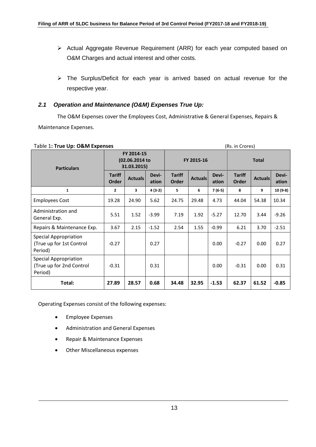- Actual Aggregate Revenue Requirement (ARR) for each year computed based on O&M Charges and actual interest and other costs.
- The Surplus/Deficit for each year is arrived based on actual revenue for the respective year.

#### *2.1 Operation and Maintenance (O&M) Expenses True Up:*

The O&M Expenses cover the Employees Cost, Administrative & General Expenses, Repairs & Maintenance Expenses.

| Table 1: True Up: O&M Expenses                                      |                                             | (Rs. in Crores) |                |                        |                |                |                        |                |                |
|---------------------------------------------------------------------|---------------------------------------------|-----------------|----------------|------------------------|----------------|----------------|------------------------|----------------|----------------|
| <b>Particulars</b>                                                  | FY 2014-15<br>(02.06.2014 to<br>31.03.2015) |                 |                | FY 2015-16             |                |                | <b>Total</b>           |                |                |
|                                                                     | <b>Tariff</b><br><b>Order</b>               | <b>Actuals</b>  | Devi-<br>ation | <b>Tariff</b><br>Order | <b>Actuals</b> | Devi-<br>ation | <b>Tariff</b><br>Order | <b>Actuals</b> | Devi-<br>ation |
| 1                                                                   | 2                                           | 3               | 4 (3-2)        | 5                      | 6              | 7 (6-5)        | 8                      | 9              | $10(9-8)$      |
| Employees Cost                                                      | 19.28                                       | 24.90           | 5.62           | 24.75                  | 29.48          | 4.73           | 44.04                  | 54.38          | 10.34          |
| Administration and<br>General Exp.                                  | 5.51                                        | 1.52            | $-3.99$        | 7.19                   | 1.92           | $-5.27$        | 12.70                  | 3.44           | $-9.26$        |
| Repairs & Maintenance Exp.                                          | 3.67                                        | 2.15            | $-1.52$        | 2.54                   | 1.55           | $-0.99$        | 6.21                   | 3.70           | $-2.51$        |
| <b>Special Appropriation</b><br>(True up for 1st Control<br>Period) | $-0.27$                                     |                 | 0.27           |                        |                | 0.00           | $-0.27$                | 0.00           | 0.27           |
| <b>Special Appropriation</b><br>(True up for 2nd Control<br>Period) | $-0.31$                                     |                 | 0.31           |                        |                | 0.00           | $-0.31$                | 0.00           | 0.31           |
| Total:                                                              | 27.89                                       | 28.57           | 0.68           | 34.48                  | 32.95          | $-1.53$        | 62.37                  | 61.52          | $-0.85$        |

Operating Expenses consist of the following expenses:

- **•** Employee Expenses
- Administration and General Expenses
- Repair & Maintenance Expenses
- Other Miscellaneous expenses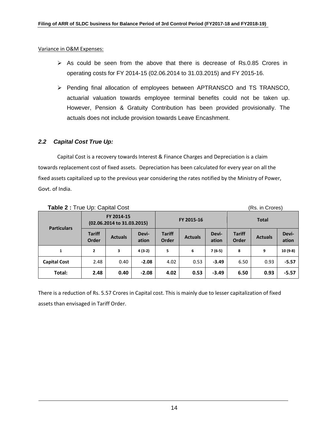Variance in O&M Expenses:

- $\triangleright$  As could be seen from the above that there is decrease of Rs.0.85 Crores in operating costs for FY 2014-15 (02.06.2014 to 31.03.2015) and FY 2015-16.
- Pending final allocation of employees between APTRANSCO and TS TRANSCO, actuarial valuation towards employee terminal benefits could not be taken up. However, Pension & Gratuity Contribution has been provided provisionally. The actuals does not include provision towards Leave Encashment.

#### *2.2 Capital Cost True Up:*

Capital Cost is a recovery towards Interest & Finance Charges and Depreciation is a claim towards replacement cost of fixed assets. Depreciation has been calculated for every year on all the fixed assets capitalized up to the previous year considering the rates notified by the Ministry of Power, Govt. of India.

| <b>Table 2</b> : True Up. Gapital Cost |                                          | (RS. In Grofes) |                |                        |                |                |                        |                |                |  |
|----------------------------------------|------------------------------------------|-----------------|----------------|------------------------|----------------|----------------|------------------------|----------------|----------------|--|
| <b>Particulars</b>                     | FY 2014-15<br>(02.06.2014 to 31.03.2015) |                 |                |                        | FY 2015-16     |                | <b>Total</b>           |                |                |  |
|                                        | <b>Tariff</b><br>Order                   | <b>Actuals</b>  | Devi-<br>ation | <b>Tariff</b><br>Order | <b>Actuals</b> | Devi-<br>ation | <b>Tariff</b><br>Order | <b>Actuals</b> | Devi-<br>ation |  |
| 1                                      | $\overline{2}$                           | 3               | $4(3-2)$       | 5                      | 6              | $7(6-5)$       | 8                      | 9              | $10(9-8)$      |  |
| <b>Capital Cost</b>                    | 2.48                                     | 0.40            | $-2.08$        | 4.02                   | 0.53           | $-3.49$        | 6.50                   | 0.93           | $-5.57$        |  |
| Total:                                 | 2.48                                     | 0.40            | $-2.08$        | 4.02                   | 0.53           | $-3.49$        | 6.50                   | 0.93           | $-5.57$        |  |

### **Table 2 :** True Up: Capital Cost (Rs. in Crores)

There is a reduction of Rs. 5.57 Crores in Capital cost. This is mainly due to lesser capitalization of fixed assets than envisaged in Tariff Order.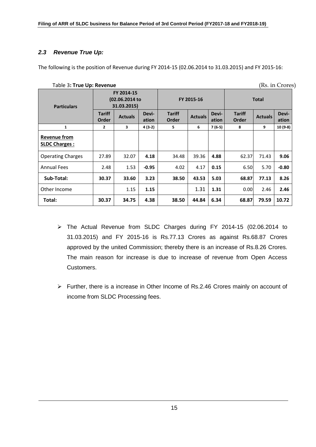# *2.3 Revenue True Up:*

The following is the position of Revenue during FY 2014-15 (02.06.2014 to 31.03.2015) and FY 2015-16:

|                                             | (Rs. in Crores)<br>Table 3: True Up: Revenue |                |                |                        |                |                |                        |                |                |  |
|---------------------------------------------|----------------------------------------------|----------------|----------------|------------------------|----------------|----------------|------------------------|----------------|----------------|--|
| <b>Particulars</b>                          | FY 2014-15<br>(02.06.2014 to<br>31.03.2015)  |                |                | FY 2015-16             |                |                | <b>Total</b>           |                |                |  |
|                                             | <b>Tariff</b><br><b>Order</b>                | <b>Actuals</b> | Devi-<br>ation | <b>Tariff</b><br>Order | <b>Actuals</b> | Devi-<br>ation | <b>Tariff</b><br>Order | <b>Actuals</b> | Devi-<br>ation |  |
| 1                                           | 2                                            | 3              | $4(3-2)$       | 5                      | 6              | $7(6-5)$       | 8                      | 9              | 10 (9-8)       |  |
| <b>Revenue from</b><br><b>SLDC Charges:</b> |                                              |                |                |                        |                |                |                        |                |                |  |
| <b>Operating Charges</b>                    | 27.89                                        | 32.07          | 4.18           | 34.48                  | 39.36          | 4.88           | 62.37                  | 71.43          | 9.06           |  |
| <b>Annual Fees</b>                          | 2.48                                         | 1.53           | $-0.95$        | 4.02                   | 4.17           | 0.15           | 6.50                   | 5.70           | $-0.80$        |  |
| Sub-Total:                                  | 30.37                                        | 33.60          | 3.23           | 38.50                  | 43.53          | 5.03           | 68.87                  | 77.13          | 8.26           |  |
| Other Income                                |                                              | 1.15           | 1.15           |                        | 1.31           | 1.31           | 0.00                   | 2.46           | 2.46           |  |
| Total:                                      | 30.37                                        | 34.75          | 4.38           | 38.50                  | 44.84          | 6.34           | 68.87                  | 79.59          | 10.72          |  |

 The Actual Revenue from SLDC Charges during FY 2014-15 (02.06.2014 to 31.03.2015) and FY 2015-16 is Rs.77.13 Crores as against Rs.68.87 Crores approved by the united Commission; thereby there is an increase of Rs.8.26 Crores. The main reason for increase is due to increase of revenue from Open Access Customers.

 Further, there is a increase in Other Income of Rs.2.46 Crores mainly on account of income from SLDC Processing fees.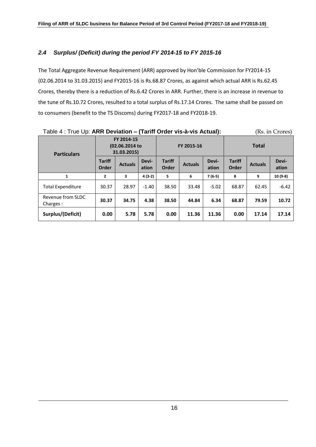# *2.4 Surplus/ (Deficit) during the period FY 2014-15 to FY 2015-16*

The Total Aggregate Revenue Requirement (ARR) approved by Hon'ble Commission for FY2014-15 (02.06.2014 to 31.03.2015) and FY2015-16 is Rs.68.87 Crores, as against which actual ARR is Rs.62.45 Crores, thereby there is a reduction of Rs.6.42 Crores in ARR. Further, there is an increase in revenue to the tune of Rs.10.72 Crores, resulted to a total surplus of Rs.17.14 Crores. The same shall be passed on to consumers (benefit to the TS Discoms) during FY2017-18 and FY2018-19.

| Table 4: True Up: ARR Deviation - (Tariff Order vis-à-vis Actual):<br>(Rs. in Crores) |                                             |                |                |                        |                |                |                        |                |                |  |
|---------------------------------------------------------------------------------------|---------------------------------------------|----------------|----------------|------------------------|----------------|----------------|------------------------|----------------|----------------|--|
| <b>Particulars</b>                                                                    | FY 2014-15<br>(02.06.2014 to<br>31.03.2015) |                |                | FY 2015-16             |                |                | <b>Total</b>           |                |                |  |
|                                                                                       | <b>Tariff</b><br>Order                      | <b>Actuals</b> | Devi-<br>ation | <b>Tariff</b><br>Order | <b>Actuals</b> | Devi-<br>ation | <b>Tariff</b><br>Order | <b>Actuals</b> | Devi-<br>ation |  |
| 1                                                                                     | $\overline{2}$                              | 3              | $4(3-2)$       | 5                      | 6              | $7(6-5)$       | 8                      | 9              | $10(9-8)$      |  |
| <b>Total Expenditure</b>                                                              | 30.37                                       | 28.97          | $-1.40$        | 38.50                  | 33.48          | $-5.02$        | 68.87                  | 62.45          | $-6.42$        |  |
| Revenue from SLDC<br>Charges:                                                         | 30.37                                       | 34.75          | 4.38           | 38.50                  | 44.84          | 6.34           | 68.87                  | 79.59          | 10.72          |  |
| Surplus/(Deficit)                                                                     | 0.00                                        | 5.78           | 5.78           | 0.00                   | 11.36          | 11.36          | 0.00                   | 17.14          | 17.14          |  |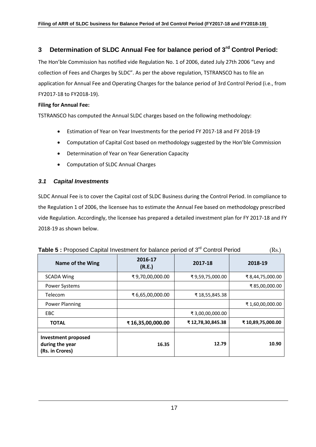# **3 Determination of SLDC Annual Fee for balance period of 3rd Control Period:**

The Hon'ble Commission has notified vide Regulation No. 1 of 2006, dated July 27th 2006 "Levy and collection of Fees and Charges by SLDC". As per the above regulation, TSTRANSCO has to file an application for Annual Fee and Operating Charges for the balance period of 3rd Control Period (i.e., from FY2017-18 to FY2018-19).

#### **Filing for Annual Fee:**

TSTRANSCO has computed the Annual SLDC charges based on the following methodology:

- Estimation of Year on Year Investments for the period FY 2017-18 and FY 2018-19
- Computation of Capital Cost based on methodology suggested by the Hon'ble Commission
- Determination of Year on Year Generation Capacity
- Computation of SLDC Annual Charges

#### *3.1 Capital Investments*

SLDC Annual Fee is to cover the Capital cost of SLDC Business during the Control Period. In compliance to the Regulation 1 of 2006, the licensee has to estimate the Annual Fee based on methodology prescribed vide Regulation. Accordingly, the licensee has prepared a detailed investment plan for FY 2017-18 and FY 2018-19 as shown below.

|                                                           | <b>Rapie J.</b> Troposed Capital Investment for balance period of J. Control Ferrod |                  |                  |  |  |  |  |
|-----------------------------------------------------------|-------------------------------------------------------------------------------------|------------------|------------------|--|--|--|--|
| Name of the Wing                                          | 2016-17<br>(R.E.)                                                                   | 2017-18          | 2018-19          |  |  |  |  |
| <b>SCADA Wing</b>                                         | ₹9,70,00,000.00                                                                     | ₹9,59,75,000.00  | ₹8,44,75,000.00  |  |  |  |  |
| Power Systems                                             |                                                                                     |                  | ₹85,00,000.00    |  |  |  |  |
| Telecom                                                   | ₹ 6,65,00,000.00                                                                    | ₹18,55,845.38    |                  |  |  |  |  |
| <b>Power Planning</b>                                     |                                                                                     |                  | ₹1,60,00,000.00  |  |  |  |  |
| EBC                                                       |                                                                                     | ₹ 3,00,00,000.00 |                  |  |  |  |  |
| <b>TOTAL</b>                                              | ₹16,35,00,000.00                                                                    | ₹12,78,30,845.38 | ₹10,89,75,000.00 |  |  |  |  |
| Investment proposed<br>during the year<br>(Rs. in Crores) | 16.35                                                                               | 12.79            | 10.90            |  |  |  |  |

| Table 5 : Proposed Capital Investment for balance period of 3 <sup>rd</sup> Control Period | (Rs.) |
|--------------------------------------------------------------------------------------------|-------|
|--------------------------------------------------------------------------------------------|-------|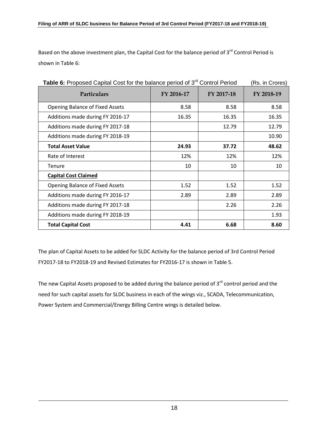Based on the above investment plan, the Capital Cost for the balance period of 3<sup>rd</sup> Control Period is shown in Table 6:

| Particulars                            | FY 2016-17 | FY 2017-18 | FY 2018-19 |
|----------------------------------------|------------|------------|------------|
|                                        |            |            |            |
| <b>Opening Balance of Fixed Assets</b> | 8.58       | 8.58       | 8.58       |
| Additions made during FY 2016-17       | 16.35      | 16.35      | 16.35      |
| Additions made during FY 2017-18       |            | 12.79      | 12.79      |
| Additions made during FY 2018-19       |            |            | 10.90      |
| <b>Total Asset Value</b>               | 24.93      | 37.72      | 48.62      |
| Rate of Interest                       | 12%        | 12%        | 12%        |
| Tenure                                 | 10         | 10         | 10         |
| <b>Capital Cost Claimed</b>            |            |            |            |
| <b>Opening Balance of Fixed Assets</b> | 1.52       | 1.52       | 1.52       |
| Additions made during FY 2016-17       | 2.89       | 2.89       | 2.89       |
| Additions made during FY 2017-18       |            | 2.26       | 2.26       |
| Additions made during FY 2018-19       |            |            | 1.93       |
| <b>Total Capital Cost</b>              | 4.41       | 6.68       | 8.60       |

**Table 6:** Proposed Capital Cost for the balance period of 3<sup>rd</sup> Control Period (Rs. in Crores)

The plan of Capital Assets to be added for SLDC Activity for the balance period of 3rd Control Period FY2017-18 to FY2018-19 and Revised Estimates for FY2016-17 is shown in Table 5.

The new Capital Assets proposed to be added during the balance period of  $3<sup>rd</sup>$  control period and the need for such capital assets for SLDC business in each of the wings viz., SCADA, Telecommunication, Power System and Commercial/Energy Billing Centre wings is detailed below.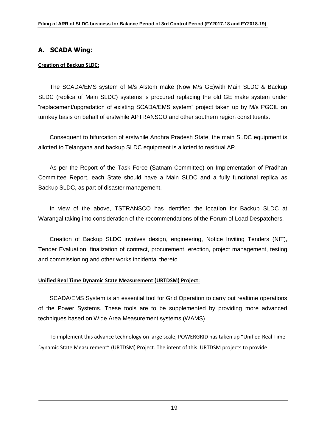# **A. SCADA Wing**:

#### **Creation of Backup SLDC:**

The SCADA/EMS system of M/s Alstom make (Now M/s GE)with Main SLDC & Backup SLDC (replica of Main SLDC) systems is procured replacing the old GE make system under "replacement/upgradation of existing SCADA/EMS system" project taken up by M/s PGCIL on turnkey basis on behalf of erstwhile APTRANSCO and other southern region constituents.

Consequent to bifurcation of erstwhile Andhra Pradesh State, the main SLDC equipment is allotted to Telangana and backup SLDC equipment is allotted to residual AP.

As per the Report of the Task Force (Satnam Committee) on Implementation of Pradhan Committee Report, each State should have a Main SLDC and a fully functional replica as Backup SLDC, as part of disaster management.

In view of the above, TSTRANSCO has identified the location for Backup SLDC at Warangal taking into consideration of the recommendations of the Forum of Load Despatchers.

Creation of Backup SLDC involves design, engineering, Notice Inviting Tenders (NIT), Tender Evaluation, finalization of contract, procurement, erection, project management, testing and commissioning and other works incidental thereto.

### **Unified Real Time Dynamic State Measurement (URTDSM) Project:**

SCADA/EMS System is an essential tool for Grid Operation to carry out realtime operations of the Power Systems. These tools are to be supplemented by providing more advanced techniques based on Wide Area Measurement systems (WAMS).

To implement this advance technology on large scale, POWERGRID has taken up "Unified Real Time Dynamic State Measurement" (URTDSM) Project. The intent of this URTDSM projects to provide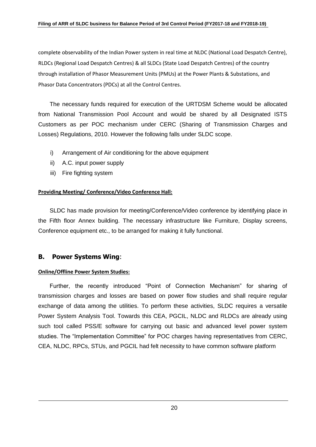complete observability of the Indian Power system in real time at NLDC (National Load Despatch Centre), RLDCs (Regional Load Despatch Centres) & all SLDCs (State Load Despatch Centres) of the country through installation of Phasor Measurement Units (PMUs) at the Power Plants & Substations, and Phasor Data Concentrators (PDCs) at all the Control Centres.

The necessary funds required for execution of the URTDSM Scheme would be allocated from National Transmission Pool Account and would be shared by all Designated ISTS Customers as per POC mechanism under CERC (Sharing of Transmission Charges and Losses) Regulations, 2010. However the following falls under SLDC scope.

- i) Arrangement of Air conditioning for the above equipment
- ii) A.C. input power supply
- iii) Fire fighting system

#### **Providing Meeting/ Conference/Video Conference Hall:**

SLDC has made provision for meeting/Conference/Video conference by identifying place in the Fifth floor Annex building. The necessary infrastructure like Furniture, Display screens, Conference equipment etc., to be arranged for making it fully functional.

### **B. Power Systems Wing**:

#### **Online/Offline Power System Studies:**

Further, the recently introduced "Point of Connection Mechanism" for sharing of transmission charges and losses are based on power flow studies and shall require regular exchange of data among the utilities. To perform these activities, SLDC requires a versatile Power System Analysis Tool. Towards this CEA, PGCIL, NLDC and RLDCs are already using such tool called PSS/E software for carrying out basic and advanced level power system studies. The "Implementation Committee" for POC charges having representatives from CERC, CEA, NLDC, RPCs, STUs, and PGCIL had felt necessity to have common software platform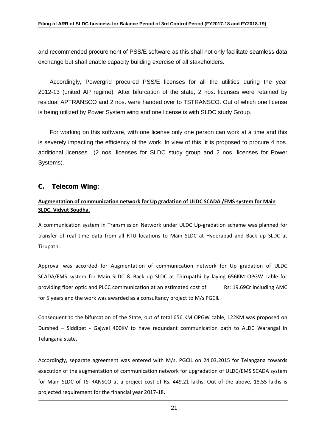and recommended procurement of PSS/E software as this shall not only facilitate seamless data exchange but shall enable capacity building exercise of all stakeholders.

Accordingly, Powergrid procured PSS/E licenses for all the utilities during the year 2012-13 (united AP regime). After bifurcation of the state, 2 nos. licenses were retained by residual APTRANSCO and 2 nos. were handed over to TSTRANSCO. Out of which one license is being utilized by Power System wing and one license is with SLDC study Group.

For working on this software, with one license only one person can work at a time and this is severely impacting the efficiency of the work. In view of this, it is proposed to procure 4 nos. additional licenses (2 nos. licenses for SLDC study group and 2 nos. licenses for Power Systems).

# **C. Telecom Wing**:

# **Augmentation of communication network for Up gradation of ULDC SCADA /EMS system for Main SLDC, Vidyut Soudha.**

A communication system in Transmission Network under ULDC Up-gradation scheme was planned for transfer of real time data from all RTU locations to Main SLDC at Hyderabad and Back up SLDC at Tirupathi.

Approval was accorded for Augmentation of communication network for Up gradation of ULDC SCADA/EMS system for Main SLDC & Back up SLDC at Thirupathi by laying 656KM OPGW cable for providing fiber optic and PLCC communication at an estimated cost of Rs: 19.69Cr including AMC for 5 years and the work was awarded as a consultancy project to M/s PGCIL.

Consequent to the bifurcation of the State, out of total 656 KM OPGW cable, 122KM was proposed on Durshed – Siddipet - Gajwel 400KV to have redundant communication path to ALDC Warangal in Telangana state.

Accordingly, separate agreement was entered with M/s. PGCIL on 24.03.2015 for Telangana towards execution of the augmentation of communication network for upgradation of ULDC/EMS SCADA system for Main SLDC of TSTRANSCO at a project cost of Rs. 449.21 lakhs. Out of the above, 18.55 lakhs is projected requirement for the financial year 2017-18.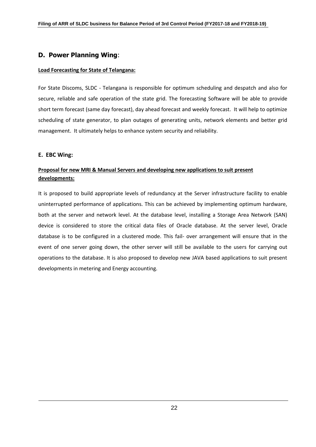# **D. Power Planning Wing**:

#### **Load Forecasting for State of Telangana:**

For State Discoms, SLDC - Telangana is responsible for optimum scheduling and despatch and also for secure, reliable and safe operation of the state grid. The forecasting Software will be able to provide short term forecast (same day forecast), day ahead forecast and weekly forecast. It will help to optimize scheduling of state generator, to plan outages of generating units, network elements and better grid management. It ultimately helps to enhance system security and reliability.

#### **E. EBC Wing:**

### **Proposal for new MRI & Manual Servers and developing new applications to suit present developments:**

It is proposed to build appropriate levels of redundancy at the Server infrastructure facility to enable uninterrupted performance of applications. This can be achieved by implementing optimum hardware, both at the server and network level. At the database level, installing a Storage Area Network (SAN) device is considered to store the critical data files of Oracle database. At the server level, Oracle database is to be configured in a clustered mode. This fail- over arrangement will ensure that in the event of one server going down, the other server will still be available to the users for carrying out operations to the database. It is also proposed to develop new JAVA based applications to suit present developments in metering and Energy accounting.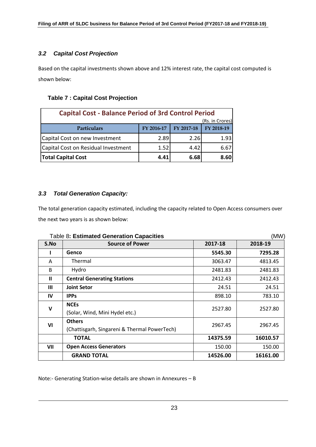# *3.2 Capital Cost Projection*

Based on the capital investments shown above and 12% interest rate, the capital cost computed is shown below:

## **Table 7 : Capital Cost Projection**

| <b>Capital Cost - Balance Period of 3rd Control Period</b> |            |            |            |  |  |  |  |
|------------------------------------------------------------|------------|------------|------------|--|--|--|--|
| (Rs. in Crores)                                            |            |            |            |  |  |  |  |
| <b>Particulars</b>                                         | FY 2016-17 | FY 2017-18 | FY 2018-19 |  |  |  |  |
| Capital Cost on new Investment                             | 2.89       | 2.26       | 1.93       |  |  |  |  |
| Capital Cost on Residual Investment                        | 1.52       | 4.42       | 6.67       |  |  |  |  |
| <b>Total Capital Cost</b>                                  | 4.41       | 6.68       | 8.60       |  |  |  |  |

# *3.3 Total Generation Capacity:*

The total generation capacity estimated, including the capacity related to Open Access consumers over the next two years is as shown below:

|              | Table 8: Estimated Generation Capacities     |          | (MW)     |  |
|--------------|----------------------------------------------|----------|----------|--|
| S.No         | <b>Source of Power</b>                       | 2017-18  | 2018-19  |  |
|              | Genco                                        | 5545.30  | 7295.28  |  |
| A            | Thermal                                      | 3063.47  | 4813.45  |  |
| <sub>B</sub> | Hydro                                        | 2481.83  | 2481.83  |  |
| $\mathbf{u}$ | <b>Central Generating Stations</b>           | 2412.43  | 2412.43  |  |
| $\mathbf{m}$ | <b>Joint Setor</b>                           | 24.51    | 24.51    |  |
| IV           | <b>IPPs</b>                                  | 898.10   | 783.10   |  |
| $\mathbf v$  | <b>NCEs</b>                                  | 2527.80  | 2527.80  |  |
|              | (Solar, Wind, Mini Hydel etc.)               |          |          |  |
| VI           | <b>Others</b>                                | 2967.45  | 2967.45  |  |
|              | (Chattisgarh, Singareni & Thermal PowerTech) |          |          |  |
|              | <b>TOTAL</b>                                 | 14375.59 | 16010.57 |  |
| VII          | <b>Open Access Generators</b>                | 150.00   | 150.00   |  |
|              | <b>GRAND TOTAL</b>                           | 14526.00 | 16161.00 |  |

Note:- Generating Station-wise details are shown in Annexures – B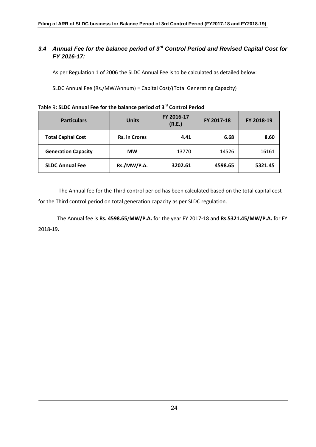# *3.4 Annual Fee for the balance period of 3rd Control Period and Revised Capital Cost for FY 2016-17:*

As per Regulation 1 of 2006 the SLDC Annual Fee is to be calculated as detailed below:

SLDC Annual Fee (Rs./MW/Annum) = Capital Cost/(Total Generating Capacity)

| <b>Particulars</b>         | <b>Units</b>         | FY 2016-17<br>(R.E.) | FY 2017-18 | FY 2018-19 |
|----------------------------|----------------------|----------------------|------------|------------|
| <b>Total Capital Cost</b>  | <b>Rs. in Crores</b> | 4.41                 | 6.68       | 8.60       |
| <b>Generation Capacity</b> | <b>MW</b>            | 13770                | 14526      | 16161      |
| <b>SLDC Annual Fee</b>     | Rs./MW/P.A.          | 3202.61              | 4598.65    | 5321.45    |

# Table 9**: SLDC Annual Fee for the balance period of 3 rd Control Period**

The Annual fee for the Third control period has been calculated based on the total capital cost for the Third control period on total generation capacity as per SLDC regulation.

The Annual fee is **Rs. 4598.65**/**MW/P.A.** for the year FY 2017-18 and **Rs.5321.45/MW/P.A.** for FY 2018-19.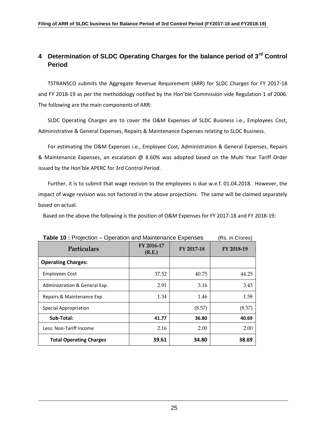# **4 Determination of SLDC Operating Charges for the balance period of 3rd Control Period**

TSTRANSCO submits the Aggregate Revenue Requirement (ARR) for SLDC Charges for FY 2017-18 and FY 2018-19 as per the methodology notified by the Hon'ble Commission vide Regulation 1 of 2006. The following are the main components of ARR:

SLDC Operating Charges are to cover the O&M Expenses of SLDC Business i.e., Employees Cost, Administrative & General Expenses, Repairs & Maintenance Expenses relating to SLDC Business.

For estimating the O&M Expenses i.e., Employee Cost, Administration & General Expenses, Repairs & Maintenance Expenses, an escalation @ 8.60% was adopted based on the Multi Year Tariff Order issued by the Hon'ble APERC for 3rd Control Period.

Further, it is to submit that wage revision to the employees is due w.e.f. 01.04.2018. However, the impact of wage revision was not factored in the above projections. The same will be claimed separately based on actual.

Based on the above the following is the position of O&M Expenses for FY 2017-18 and FY 2018-19:

| <b>Table TV.</b> Projection – Operation and Maintenance Expenses |                      |            | KS. III UIUIESI |
|------------------------------------------------------------------|----------------------|------------|-----------------|
| Particulars                                                      | FY 2016-17<br>(R.E.) | FY 2017-18 | FY 2018-19      |
| <b>Operating Charges:</b>                                        |                      |            |                 |
| <b>Employees Cost</b>                                            | 37.52                | 40.75      | 44.25           |
| Administration & General Exp.                                    | 2.91                 | 3.16       | 3.43            |
| Repairs & Maintenance Exp.                                       | 1.34                 | 1.46       | 1.58            |
| Special Appropriation                                            |                      | (8.57)     | (8.57)          |
| Sub-Total:                                                       | 41.77                | 36.80      | 40.69           |
| Less: Non-Tariff Income                                          | 2.16                 | 2.00       | 2.00            |
| <b>Total Operating Charges</b>                                   | 39.61                | 34.80      | 38.69           |

**Table 10 :** Projection – Operation and Maintenance Expenses (Rs. in Crores)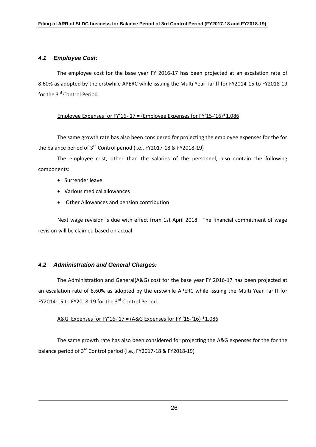#### *4.1 Employee Cost:*

The employee cost for the base year FY 2016-17 has been projected at an escalation rate of 8.60% as adopted by the erstwhile APERC while issuing the Multi Year Tariff for FY2014-15 to FY2018-19 for the 3<sup>rd</sup> Control Period.

#### Employee Expenses for FY'16-'17 = (Employee Expenses for FY'15-'16)\*1.086

The same growth rate has also been considered for projecting the employee expenses for the for the balance period of 3<sup>rd</sup> Control period (i.e., FY2017-18 & FY2018-19)

The employee cost, other than the salaries of the personnel, also contain the following components:

- Surrender leave
- Various medical allowances
- Other Allowances and pension contribution

Next wage revision is due with effect from 1st April 2018. The financial commitment of wage revision will be claimed based on actual.

### *4.2 Administration and General Charges:*

The Administration and General(A&G) cost for the base year FY 2016-17 has been projected at an escalation rate of 8.60% as adopted by the erstwhile APERC while issuing the Multi Year Tariff for FY2014-15 to FY2018-19 for the 3<sup>rd</sup> Control Period.

#### A&G Expenses for FY'16-'17 = (A&G Expenses for FY '15-'16) \*1.086

The same growth rate has also been considered for projecting the A&G expenses for the for the balance period of 3<sup>rd</sup> Control period (i.e., FY2017-18 & FY2018-19)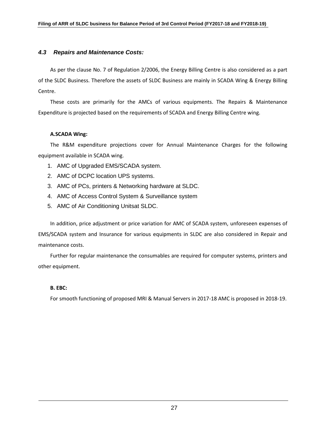#### *4.3 Repairs and Maintenance Costs:*

As per the clause No. 7 of Regulation 2/2006, the Energy Billing Centre is also considered as a part of the SLDC Business. Therefore the assets of SLDC Business are mainly in SCADA Wing & Energy Billing Centre.

These costs are primarily for the AMCs of various equipments. The Repairs & Maintenance Expenditure is projected based on the requirements of SCADA and Energy Billing Centre wing.

#### **A.SCADA Wing:**

The R&M expenditure projections cover for Annual Maintenance Charges for the following equipment available in SCADA wing.

- 1. AMC of Upgraded EMS/SCADA system.
- 2. AMC of DCPC location UPS systems.
- 3. AMC of PCs, printers & Networking hardware at SLDC.
- 4. AMC of Access Control System & Surveillance system
- 5. AMC of Air Conditioning Unitsat SLDC.

In addition, price adjustment or price variation for AMC of SCADA system, unforeseen expenses of EMS/SCADA system and Insurance for various equipments in SLDC are also considered in Repair and maintenance costs.

Further for regular maintenance the consumables are required for computer systems, printers and other equipment.

#### **B. EBC:**

For smooth functioning of proposed MRI & Manual Servers in 2017-18 AMC is proposed in 2018-19.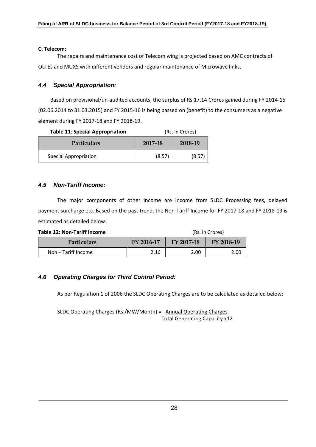#### **C. Telecom:**

The repairs and maintenance cost of Telecom wing is projected based on AMC contracts of OLTEs and MUXS with different vendors and regular maintenance of Microwave links.

#### *4.4 Special Appropriation:*

Based on provisional/un-audited accounts, the surplus of Rs.17.14 Crores gained during FY 2014-15 (02.06.2014 to 31.03.2015) and FY 2015-16 is being passed on (benefit) to the consumers as a negative element during FY 2017-18 and FY 2018-19.

| <b>Table 11: Special Appropriation</b> | (Rs. in Crores)    |        |
|----------------------------------------|--------------------|--------|
| <b>Particulars</b>                     | 2018-19<br>2017-18 |        |
| <b>Special Appropriation</b>           | (8.57)             | (8.57) |

#### *4.5 Non-Tariff Income:*

The major components of other income are income from SLDC Processing fees, delayed payment surcharge etc. Based on the past trend, the Non-Tariff Income for FY 2017-18 and FY 2018-19 is estimated as detailed below:

| Table 12: Non-Tariff Income |            | (Rs. in Crores) |            |  |
|-----------------------------|------------|-----------------|------------|--|
| <b>Particulars</b>          | FY 2016-17 | FY 2017-18      | FY 2018-19 |  |
| Non - Tariff Income         | 2.16       | 2.00            | 2.00       |  |

### *4.6 Operating Charges for Third Control Period:*

As per Regulation 1 of 2006 the SLDC Operating Charges are to be calculated as detailed below:

SLDC Operating Charges (Rs./MW/Month) = Annual Operating Charges Total Generating Capacity x12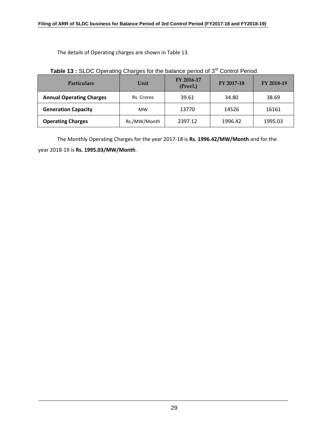The details of Operating charges are shown in Table 13.

| <b>Particulars</b>              | Unit         | FY 2016-17<br>(Provl.) | FY 2017-18 | FY 2018-19 |
|---------------------------------|--------------|------------------------|------------|------------|
| <b>Annual Operating Charges</b> | Rs. Crores   | 39.61                  | 34.80      | 38.69      |
| <b>Generation Capacity</b>      | <b>MW</b>    | 13770                  | 14526      | 16161      |
| <b>Operating Charges</b>        | Rs./MW/Month | 2397.12                | 1996.42    | 1995.03    |

The Monthly Operating Charges for the year 2017-18 is **Rs. 1996.42/MW/Month** and for the year 2018-19 is **Rs. 1995.03/MW/Month**.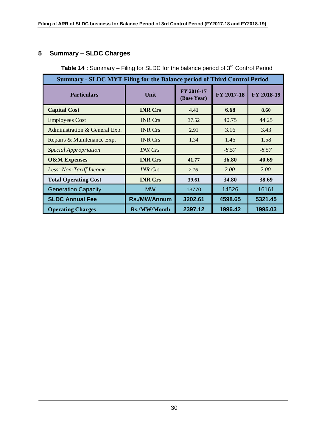# **5 Summary – SLDC Charges**

| <b>Summary - SLDC MYT Filing for the Balance period of Third Control Period</b> |                |                           |            |            |
|---------------------------------------------------------------------------------|----------------|---------------------------|------------|------------|
| <b>Particulars</b>                                                              | Unit           | FY 2016-17<br>(Base Year) | FY 2017-18 | FY 2018-19 |
| <b>Capital Cost</b>                                                             | <b>INR Crs</b> | 4.41                      | 6.68       | 8.60       |
| <b>Employees Cost</b>                                                           | <b>INR Crs</b> | 37.52                     | 40.75      | 44.25      |
| Administration & General Exp.                                                   | <b>INR Crs</b> | 2.91                      | 3.16       | 3.43       |
| Repairs & Maintenance Exp.                                                      | <b>INR Crs</b> | 1.34                      | 1.46       | 1.58       |
| <b>Special Appropriation</b>                                                    | <b>INR</b> Crs |                           | $-8.57$    | $-8.57$    |
| <b>O&amp;M Expenses</b>                                                         | <b>INR Crs</b> | 41.77                     | 36.80      | 40.69      |
| Less: Non-Tariff Income                                                         | <b>INR</b> Crs | 2.16                      | 2.00       | 2.00       |
| <b>Total Operating Cost</b>                                                     | <b>INR Crs</b> | 39.61                     | 34.80      | 38.69      |
| <b>Generation Capacity</b>                                                      | <b>MW</b>      | 13770                     | 14526      | 16161      |
| <b>SLDC Annual Fee</b>                                                          | Rs./MW/Annum   | 3202.61                   | 4598.65    | 5321.45    |
| <b>Operating Charges</b>                                                        | Rs./MW/Month   | 2397.12                   | 1996.42    | 1995.03    |

**Table 14** : Summary – Filing for SLDC for the balance period of 3<sup>rd</sup> Control Period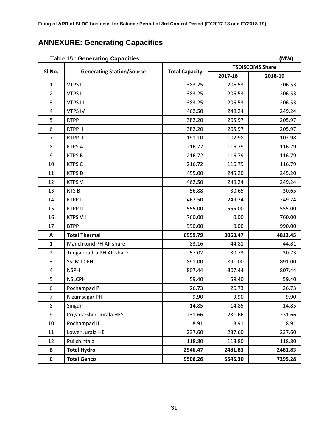# **ANNEXURE: Generating Capacities**

|                | rable to . Ocherating Capacities |                       | uuvv,<br><b>TSDISCOMS Share</b> |         |  |
|----------------|----------------------------------|-----------------------|---------------------------------|---------|--|
| SI.No.         | <b>Generating Station/Source</b> | <b>Total Capacity</b> | 2017-18                         | 2018-19 |  |
| $\mathbf{1}$   | VTPS I                           | 383.25                | 206.53                          | 206.53  |  |
| $\overline{2}$ | <b>VTPS II</b>                   | 383.25                | 206.53                          | 206.53  |  |
| 3              | <b>VTPS III</b>                  | 383.25                | 206.53                          | 206.53  |  |
| 4              | <b>VTPS IV</b>                   | 462.50                | 249.24                          | 249.24  |  |
| 5              | RTPP I                           | 382.20                | 205.97                          | 205.97  |  |
| 6              | RTPP II                          | 382.20                | 205.97                          | 205.97  |  |
| $\overline{7}$ | RTPP III                         | 191.10                | 102.98                          | 102.98  |  |
| 8              | <b>KTPS A</b>                    | 216.72                | 116.79                          | 116.79  |  |
| 9              | <b>KTPSB</b>                     | 216.72                | 116.79                          | 116.79  |  |
| 10             | <b>KTPS C</b>                    | 216.72                | 116.79                          | 116.79  |  |
| 11             | <b>KTPSD</b>                     | 455.00                | 245.20                          | 245.20  |  |
| 12             | <b>KTPS VI</b>                   | 462.50                | 249.24                          | 249.24  |  |
| 13             | <b>RTSB</b>                      | 56.88                 | 30.65                           | 30.65   |  |
| 14             | KTPP I                           | 462.50                | 249.24                          | 249.24  |  |
| 15             | <b>KTPP II</b>                   | 555.00                | 555.00                          | 555.00  |  |
| 16             | <b>KTPS VII</b>                  | 760.00                | 0.00                            | 760.00  |  |
| 17             | <b>BTPP</b>                      | 990.00                | 0.00                            | 990.00  |  |
| A              | <b>Total Thermal</b>             | 6959.79               | 3063.47                         | 4813.45 |  |
| $\mathbf{1}$   | Manchkund PH AP share            | 83.16                 | 44.81                           | 44.81   |  |
| $\overline{2}$ | Tungabhadra PH AP share          | 57.02                 | 30.73                           | 30.73   |  |
| 3              | <b>SSLM LCPH</b>                 | 891.00                | 891.00                          | 891.00  |  |
| 4              | <b>NSPH</b>                      | 807.44                | 807.44                          | 807.44  |  |
| 5              | <b>NSLCPH</b>                    | 59.40                 | 59.40                           | 59.40   |  |
| 6              | Pochampad PH                     | 26.73                 | 26.73                           | 26.73   |  |
| $\overline{7}$ | Nizamsagar PH                    | 9.90                  | 9.90                            | 9.90    |  |
| 8              | Singur                           | 14.85                 | 14.85                           | 14.85   |  |
| 9              | Priyadarshini Jurala HES         | 231.66                | 231.66                          | 231.66  |  |
| 10             | Pochampad II                     | 8.91                  | 8.91                            | 8.91    |  |
| 11             | Lower Jurala HE                  | 237.60                | 237.60                          | 237.60  |  |
| 12             | Pulichintala                     | 118.80                | 118.80                          | 118.80  |  |
| B              | <b>Total Hydro</b>               | 2546.47               | 2481.83                         | 2481.83 |  |
| $\mathsf{C}$   | <b>Total Genco</b>               | 9506.26               | 5545.30                         | 7295.28 |  |

#### Table 15 : **Generating Capacities (MW)**